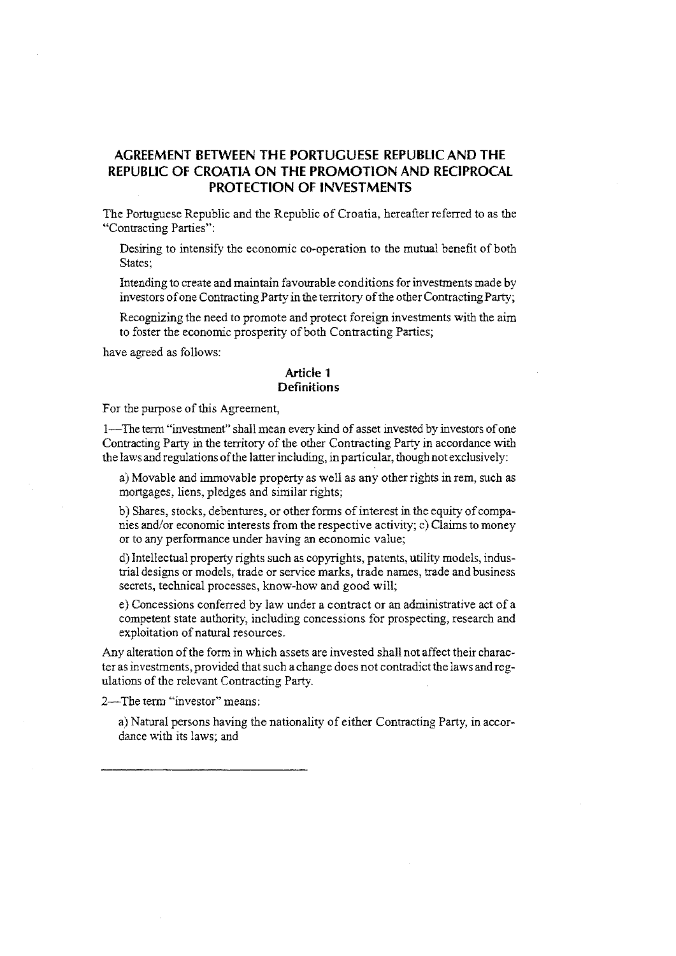# **AGREEMENT BETWEEN THE PORTUGUESE REPUBLIC AND THE REPUBLIC OF CROATIA ON THE PROMOTION AND RECIPROCAL PROTECTION OF INVESTMENTS**

The Portuguese Republic and the Republic of Croatia, hereafter referred to as the "Contracting Parties":

Desiring to intensify the economic co-operation to the mutual benefit of both States:

Intending to create and maintain favourable conditions for investments made by investors of one Contracting Party in the territory of the other Contracting Party;

Recognizing the need to promote and protect foreign investments with the aim to foster the economic prosperity of both Contracting Parties;

have agreed as follows:

### **Article 1 Definitions**

For the purpose of this Agreement,

1-The term "investment" shall mean every kind of asset invested by investors of one Contracting Party in the territory of the other Contracting Party in accordance with the laws and regulations of the latter including, in particular, though not exclusively:

a) Movable and immovable property as well as any other rights in rem, such as mortgages, liens, pledges and similar rights;

b) Shares, stocks, debentures, or other forms of interest in the equity of companies and/or economic interests from the respective activity; c) Claims to money or to any performance under having an economic value;

d) Intellectual property rights such as copyrights, patents, utility models, industrial designs or models, trade or service marks, trade names, trade and business secrets, technical processes, know-how and good will;

e) Concessions conferred by law under a contract or an administrative act of a competent state authority, including concessions for prospecting, research and exploitation of natural resources.

Any alteration of the form in which assets are invested shall not affect their character as investments, provided that such a change does not contradict the laws and regulations of the relevant Contracting Party.

2-The term "investor" means:

a) Natural persons having the nationality of either Contracting Party, in accordance with its laws; and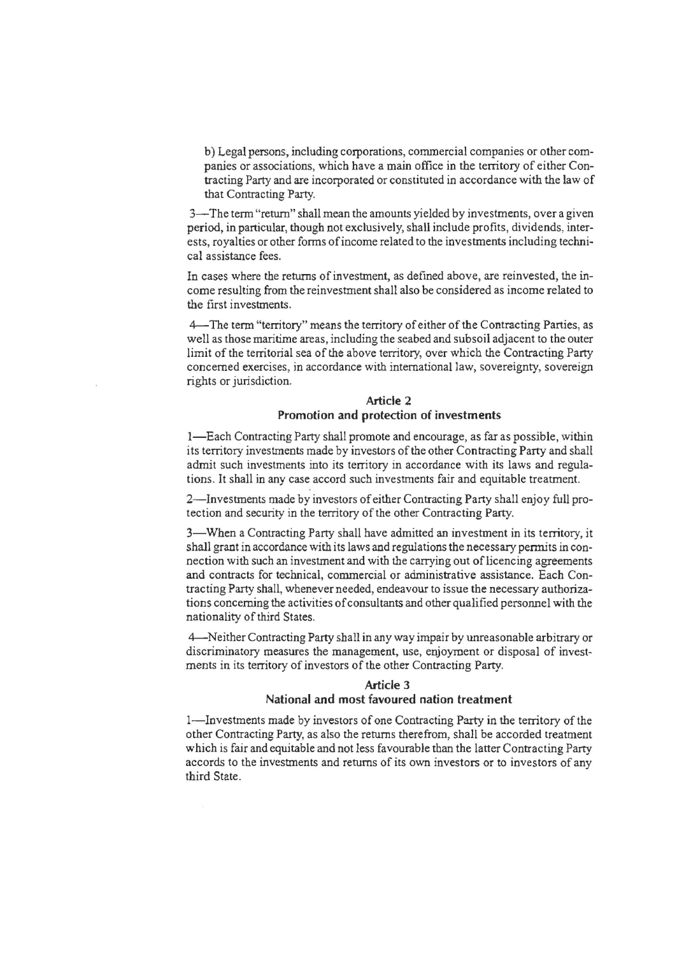b) Legal persons, including corporations, conunercial companies or other companies or associations, which have a main office in the territory of either Contracting Party and are incorporated or constituted in accordance with the law of that Contracting Party.

3-The term "return" shall mean the amounts yielded by investments, over a given period, in particular, though not exclusively, shall include profits, dividends, interests, royalties or other forms of income related to the investments including technical assistance fees.

In cases where the returns of investment, as defined above, are reinvested, the income resulting from the reinvestment shall also be considered as income related to the first investments.

4--The term "territory" means the territory of either of the Contracting Parties, as well as those maritime areas, including the seabed and subsoil adjacent to the outer limit of the territorial sea of the above territory, over which the Contracting Party concerned exercises, in accordance with international law, sovereignty, sovereign rights or jurisdiction.

# Article 2 Promotion and protection of investments

I-Each Contracting Party shall promote and encourage, as far as possible, within its territory investments made by investors of the other Contracting Party and shall admit such investments into its territory in accordance with its laws and regulations. It shall in any case accord such investments fair and equitable treatment.

2-Investments made by investors of either Contracting Party shall enjoy full protection and security in the territory of the other Contracting Party.

3-When a Contracting Party shall have admitted an investment in its territory, it shall grant in accordance with its laws and regulations the necessary pennits in connection with such an investment and with the carrying out of licencing agreements and contracts for technical, commercial or administrative assistance. Each Contracting Party shall, whenever needed, endeavour to issue the necessary authorizations concerning the activities of consultants and other qualified personnel with the nationality of third States.

4--Neither Contracting Party shall in any way impair by unreasonable arbitrary or discriminatory measures the management, use, enjoyment or disposal of investments in its territory of investors of the other Contracting Party.

# Article 3 National and most favoured nation treatment

I-Investments made by investors of one Contracting Party in the territory of the other Contracting Party, as also the returns therefrom, shall be accorded treatment which is fair and equitable and not less favourable than the latter Contracting Party accords to the investments and returns of its own investors or to investors of any third State.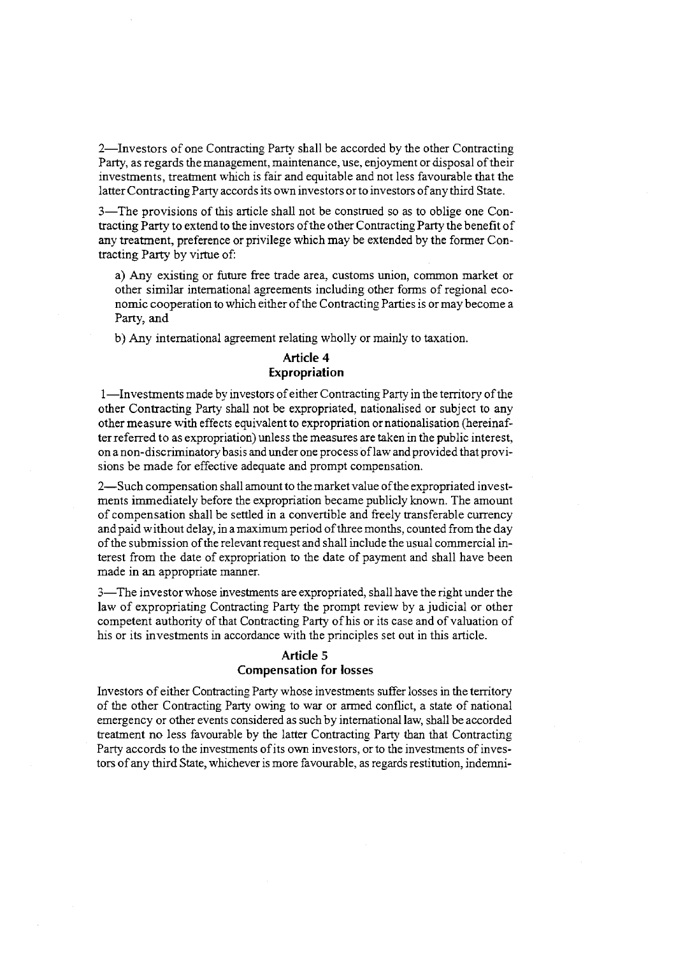2-Investors of one Contracting Party shall be accorded by the other Contracting Party, as regards the management, maintenance, use, enjoyment or disposal of their investments, treatment which is fair and equitable and not less favourable that the latter Contracting Party accords its own investors orto investors of any third State.

3-The provisions of this article shall not be construed so as to oblige one Contracting Party to extend to the investors of the other Contracting Party the benefit of any treatment, preference or privilege which may be extended by the former Contracting Party by virtue of:

a) Any existing or future free trade area, customs union, common market or other similar international agreements including other forms of regional economic cooperation to which either of the Contracting Parties is or may become a Party, and

b) Any international agreement relating wholly or mainly to taxation.

# **Article 4 Expropriation**

I-Investments made by investors of either Contracting Party in the territory of the other Contracting Party shall not be expropriated, nationalised or subject to any other measure with effects equivalent to expropriation or nationalisation (hereinafter referred to as expropriation) unless the measures are taken in the public interest, on a non-discriminatory basis and under one process oflaw and provided that provisions be made for effective adequate and prompt compensation.

2-Such compensation shall amount to the market value of the expropriated investments immediately before the expropriation became publicly known. The amount of compensation shall be settled in a convertible and freely transferable currency and paid without delay, in a maximum period of three months, counted from the day of the submission of the relevant request and shall include the usual commercial interest from the date of expropriation to the date of payment and shall have been made in an appropriate manner.

3-The investor whose investments are expropriated, shall have the right under the law of expropriating Contracting Party the prompt review by a judicial or other competent authority of that Contracting Party of his or its case and of valuation of his or its investments in accordance with the principles set out in this article.

# **Article** 5 **Compensation for losses**

Investors of either Contracting Party whose investments suffer losses in the territory of the other Contracting Party owing to war or armed conflict, a state of national emergency or other events considered as such by international law, shall be accorded treatment no less favourable by the latter Contracting Party than that Contracting Party accords to the investments of its own investors, or to the investments of investors of any third State, whichever is more favourable, as regards restitution, indernni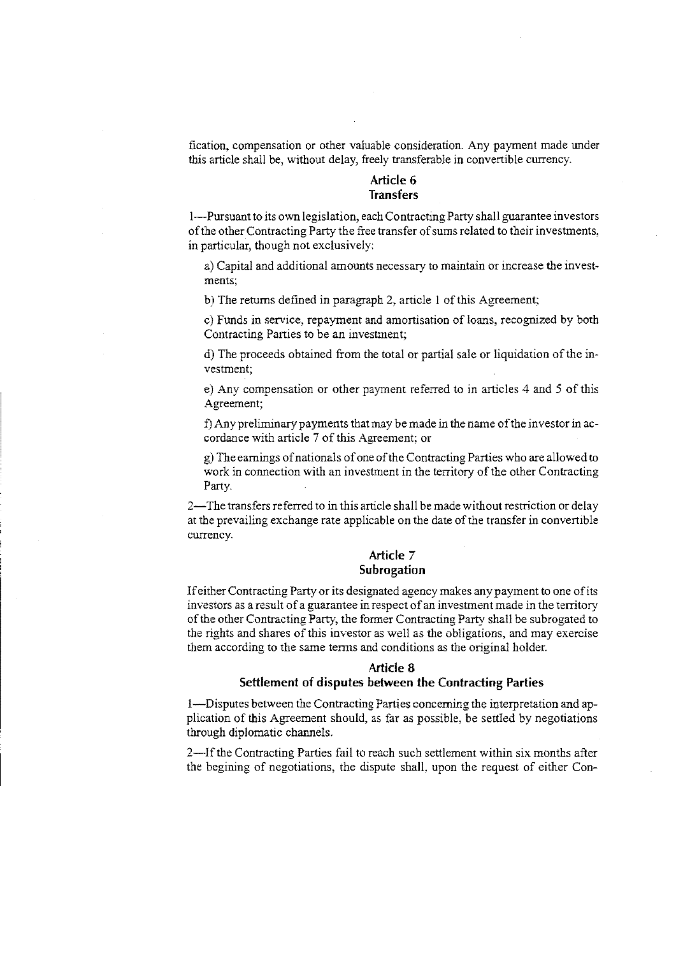fication, compensation or other valuable consideration. Any payment made under this article shall be, without delay, freely transferable in convertible currency.

#### **Article 6 Transfers**

I-Pursuant to its own legislation, each Contracting Party shall guarantee investors of the other Contracting Party the free transfer of sums related to their investments, in particular, though not exclusively:

a) Capital and additional amounts necessary to maintain or increase the investments;

b) The returns defined in paragraph 2, article 1 of this Agreement;

c) Funds in service, repayment and amortisation of loans, recognized by both Contracting Parties to be an investment;

d) The proceeds obtained from the total or partial sale or liquidation of the investment;

e) Any compensation or other payment referred to in articles 4 and 5 of this Agreement;

f) Any preliminary payments that may be made in the name of the investor in accordance with article 7 of this Agreement; or

g) The earnings of nationals of one of the Contracting Parties who are allowed to work in connection with an investment in the territory of the other Contracting Party.

2-The transfers referred to in this article shall be made without restriction or delay at the prevailing exchange rate applicable on the date of the transfer in convertible currency.

#### **Article** 7 **Subrogation**

If either Contracting Party or its designated agency makes any payment to one of its investors as a result of a guarantee in respect of an investment made in the territory of the other Contracting Party, the former Contracting Party shall be subrogated to the rights and shares of this investor as well as the obligations, and may exercise them according to the same terms and conditions as the original holder.

#### **Article** 8

#### **Settlement of disputes between the Contracting Parties**

I-Disputes between the Contracting Parties concerning the interpretation and application of this Agreement should, as far as possible, be settled by negotiations through diplomatic channels.

2-Ifthe Contracting Parties fail to reach such settlement within six months after the begining of negotiations, the dispute shall, upon the request of either Con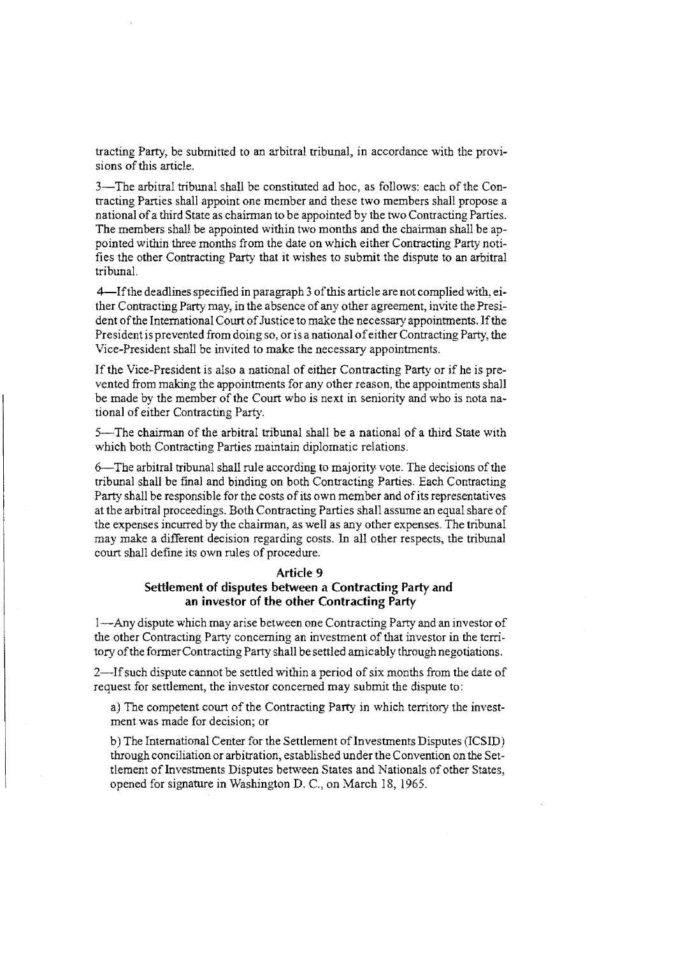tracting Party, be submitted to an arbitral tribunal, in accordance with the provisions of this article.

3-The arbitral tribunal shall be constituted ad hoc, as follows: each of the Contracting Parties shall appoint one member and these two members shall propose a national of a third State as chairman to be appointed by the two Contracting Parties. The members shall be appointed within two months and the chairman shall be appointed within three months from the date on which either Contracting Party notifies the other Contracting Party that it wishes to submit the dispute to an arbitral tribunal.

4-Ifthe deadlines specified in paragraph 3 of this article are not complied with, either Contracting Party may, in the absence of any other agreement, invite the President of the International Court of Justice to make the necessary appointments. If the President is prevented from doing so, or is a national of either Contracting Party, the Vice-President shall be invited to make the necessary appointments.

If the Vice-President is also a national of either Contracting Party or if he is prevented from making the appointments for any other reason, the appointments shall be made by the member of the Court who is next in seniority and who is nota national of either Contracting Party.

5-The chairman of the arbitral tribunal shall be a national of a third State with which both Contracting Parties maintain diplomatic relations.

6--The arbitral tribunal shall rule according to majority vote. The decisions of the tribunal shall be final and binding on both Contracting Parties. Each Contracting Party shall be responsible for the costs of its own member and of its representatives at the arbitral proceedings. Both Contracting Parties shall assume an equal share of the expenses incurred by the chairman, as well as any other expenses. The tribunal may make a different decision regarding costs. In all other respects, the tribunal court shall define its own rules of procedure.

#### **Article 9**

# **Settlement of disputes between a Contracting Party and an investor of the other Contracting Party**

I-Any dispute which may arise between one Contracting Party and an investor of the other Contracting Party concerning an investment of that investor in the territory of the former Contracting Party shall be settled amicably through negotiations.

2-Ifsuch dispute cannot be settled within a period of six months from the date of request for settlement, the investor concerned may submit the dispute to:

a) The competent court of the Contracting Party in which territory the investment was made for decision; or

b) The International Center for the Settlement of Investments Disputes (ICSID) through conciliation or arbitration, established under the Convention on the Settlement of Investments Disputes between States and Nationals of other States, opened for signature in Washington D. C., on March 18, 1965.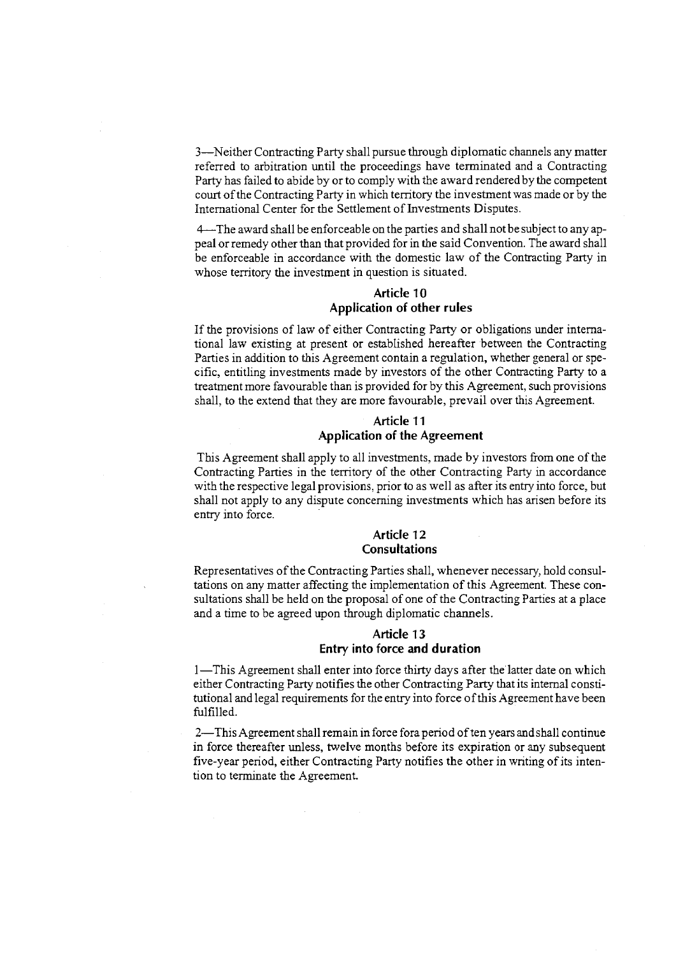3-N either Contracting Party shall pursue through diplomatic channels any matter referred to arbitration until the proceedings have terminated and a Contracting Party has failed to abide by or to comply with the award rendered by the competent court of the Contracting Party in which territory the investment was made or by the International Center for the Settlement of Investrnents Disputes.

4--The award shall be enforceable on the parties and shall not be subject to anyappeal or remedy other than that provided for in the said Convention. The award shall be enforceable in accordance with the domestic law of the Contracting Party in whose territory the investment in question is situated.

### **Article 10 Application of other rules**

If the provisions of law of either Contracting Party or obligations under international law existing at present or established hereafter between the Contracting Parties in addition to this Agreement contain a regulation, whether general or specific, entitling investments made by investors of the other Contracting Party to a treatment more favourable than is provided for by this Agreement, such provisions shall, to the extend that they are more favourable, prevail over this Agreement.

# **Article 11 Application of the Agreement**

This Agreement shall apply to all investments, made by investors from one of the Contracting Parties in the territory of the other Contracting Party in accordance with the respective legal provisions, prior to as well as after its entry into force, but shall not apply to any dispute concerning investments which has arisen before its entry into force.

### **Article 12 Consultations**

Representatives of the Contracting Parties shall, whenever necessary, hold consultations on any matter affecting the implementation of this Agreement. These consultations shall be held on the proposal of one of the Contracting Parties at a place and a time to be agreed upon through diplomatic channels.

# **Article 13 Entry into force and duration**

1—This Agreement shall enter into force thirty days after the latter date on which either Contracting Party notifies the other Contracting Party that its internal constitutional and legal requirements for the entry into force of this Agreement have been fulfilled.

2—This Agreement shall remain in force fora period of ten years and shall continue in force thereafter unless, twelve months before its expiration or any subsequent five-year period, either Contracting Party notifies the other in writing of its intention to terminate the Agreement.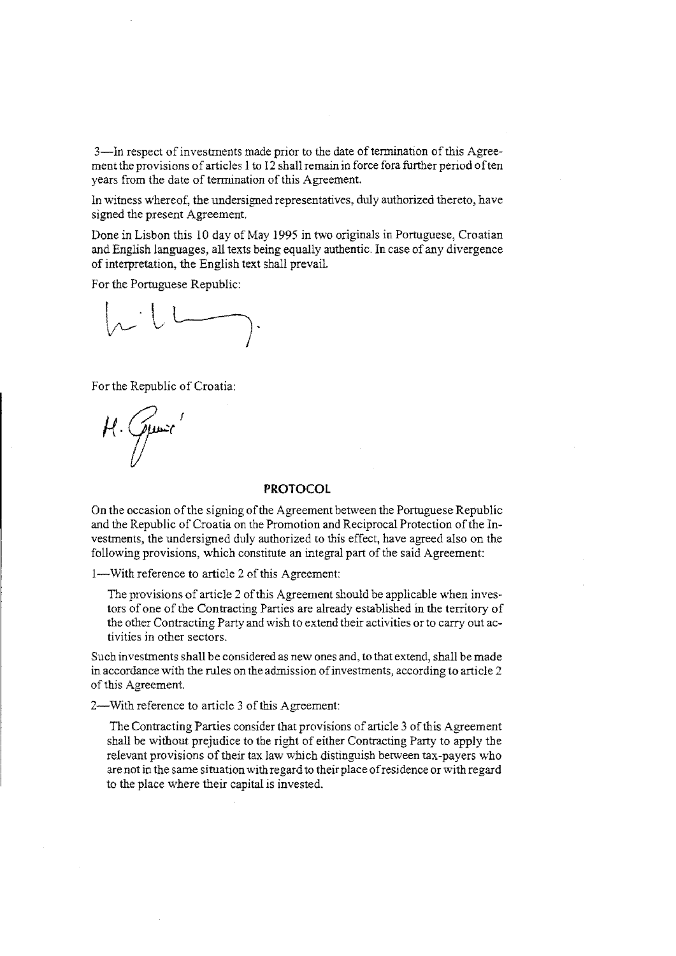3-1n respect of investments made prior to the date of termination of this Agreement the provisions of articles 1 to 12 shall remain in force fora further period often years from the date of termination of this Agreement.

In witness whereof, the undersigned representatives, duly authorized thereto, have signed the present Agreement.

Done in Lisbon this 10 day of May 1995 in two originals in Portuguese, Croatian and English languages, all texts being equally authentic. In case of any divergence of interpretation, the English text shall prevail.

For the Portuguese Republic:

For the Republic of Croatia:

 $\mu$ . Qui

### **PROTOCOL**

On the occasion of the signing of the Agreement between the Portuguese Republic and the Republic of Croatia on the Promotion and Reciprocal Protection of the Investments, the undersigned duly authorized to this effect, have agreed also on the following provisions, which constitute an integral part of the said Agreement:

I-With reference to article 2 of this Agreement:

The provisions of article 2 of this Agreement should be applicable when investors of one of the Contracting Parties are already established in the territory of the other Contracting Party and wish to extend their activities or to carry out activities in other sectors.

Such investments shall be considered as new ones and, to that extend, shall be made in accordance with the rules on the admission of investments, according to article 2 of this Agreement.

2-With reference to article 3 of this Agreement:

The Contracting Parties consider that provisions of article 3 of this Agreement shall be without prejudice to the right of either Contracting Party to apply the relevant provisions of their tax law which distinguish between tax-payers who are not in the same situation with regard to their place of residence or with regard to the place where their capital is invested.